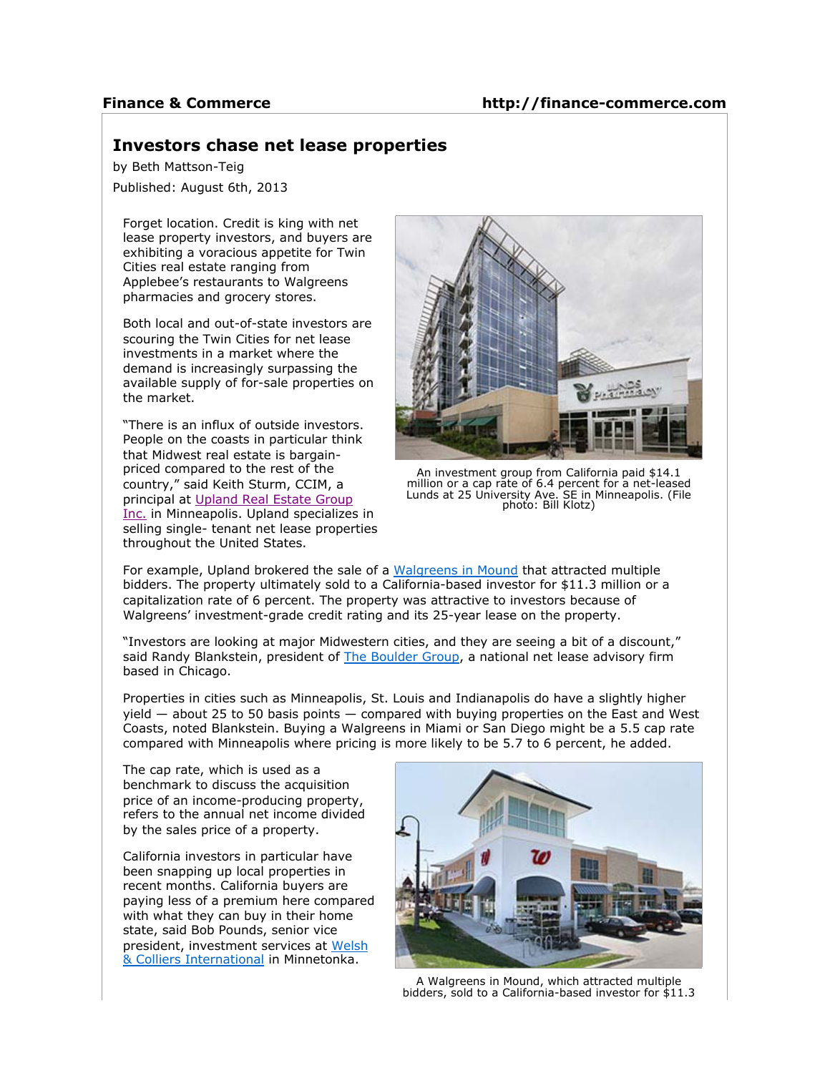## **Finance & Commerce**

## **Investors chase net lease properties**

by Beth Mattson-Teig

Published: August 6th, 2013

Forget location. Credit is king with net lease property investors, and buyers are exhibiting a voracious appetite for Twin Cities real estate ranging from Applebee's restaurants to Walgreens pharmacies and grocery stores.

Both local and out-of-state investors are scouring the Twin Cities for net lease investments in a market where the demand is increasingly surpassing the available supply of for-sale properties on the market.

"There is an influx of outside investors. People on the coasts in particular think that Midwest real estate is bargainpriced compared to the rest of the country," said Keith Sturm, CCIM, a principal at Upland Real Estate Group Inc. in Minneapolis. Upland specializes in selling single- tenant net lease properties throughout the United States.



An investment group from California paid \$14.1 million or a cap rate of 6.4 percent for a net-leased Lunds at 25 University Ave. SE in Minneapolis. (File photo: Bill Klotz)

For example, Upland brokered the sale of a Walgreens in Mound that attracted multiple bidders. The property ultimately sold to a California-based investor for \$11.3 million or a capitalization rate of 6 percent. The property was attractive to investors because of Walgreens' investment-grade credit rating and its 25-year lease on the property.

"Investors are looking at major Midwestern cities, and they are seeing a bit of a discount," said Randy Blankstein, president of The Boulder Group, a national net lease advisory firm based in Chicago.

Properties in cities such as Minneapolis, St. Louis and Indianapolis do have a slightly higher yield — about 25 to 50 basis points — compared with buying properties on the East and West Coasts, noted Blankstein. Buying a Walgreens in Miami or San Diego might be a 5.5 cap rate compared with Minneapolis where pricing is more likely to be 5.7 to 6 percent, he added.

The cap rate, which is used as a benchmark to discuss the acquisition price of an income-producing property, refers to the annual net income divided by the sales price of a property.

California investors in particular have been snapping up local properties in recent months. California buyers are paying less of a premium here compared with what they can buy in their home state, said Bob Pounds, senior vice president, investment services at Welsh & Colliers International in Minnetonka.



A Walgreens in Mound, which attracted multiple bidders, sold to a California-based investor for \$11.3